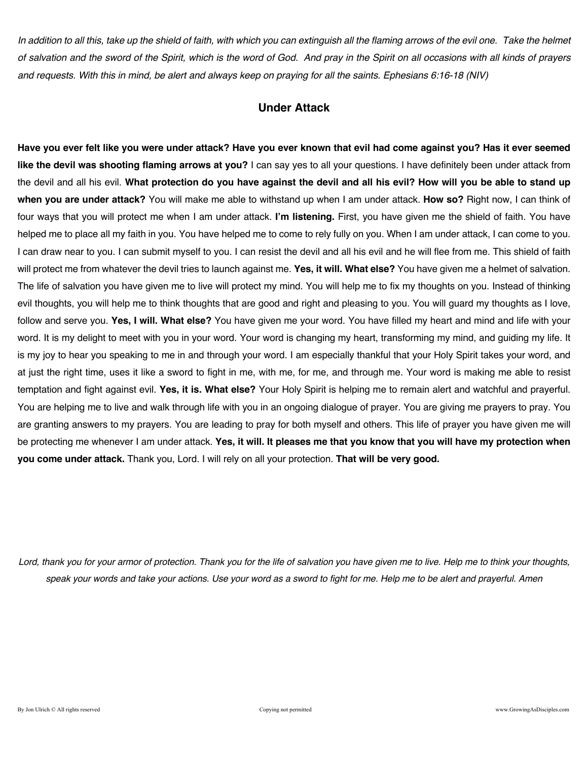*In addition to all this, take up the shield of faith, with which you can extinguish all the flaming arrows of the evil one. Take the helmet of salvation and the sword of the Spirit, which is the word of God. And pray in the Spirit on all occasions with all kinds of prayers and requests. With this in mind, be alert and always keep on praying for all the saints. Ephesians 6:16-18 (NIV)* 

### **Under Attack**

**Have you ever felt like you were under attack? Have you ever known that evil had come against you? Has it ever seemed like the devil was shooting flaming arrows at you?** I can say yes to all your questions. I have definitely been under attack from the devil and all his evil. **What protection do you have against the devil and all his evil? How will you be able to stand up when you are under attack?** You will make me able to withstand up when I am under attack. **How so?** Right now, I can think of four ways that you will protect me when I am under attack. **I'm listening.** First, you have given me the shield of faith. You have helped me to place all my faith in you. You have helped me to come to rely fully on you. When I am under attack, I can come to you. I can draw near to you. I can submit myself to you. I can resist the devil and all his evil and he will flee from me. This shield of faith will protect me from whatever the devil tries to launch against me. **Yes, it will. What else?** You have given me a helmet of salvation. The life of salvation you have given me to live will protect my mind. You will help me to fix my thoughts on you. Instead of thinking evil thoughts, you will help me to think thoughts that are good and right and pleasing to you. You will guard my thoughts as I love, follow and serve you. **Yes, I will. What else?** You have given me your word. You have filled my heart and mind and life with your word. It is my delight to meet with you in your word. Your word is changing my heart, transforming my mind, and guiding my life. It is my joy to hear you speaking to me in and through your word. I am especially thankful that your Holy Spirit takes your word, and at just the right time, uses it like a sword to fight in me, with me, for me, and through me. Your word is making me able to resist temptation and fight against evil. **Yes, it is. What else?** Your Holy Spirit is helping me to remain alert and watchful and prayerful. You are helping me to live and walk through life with you in an ongoing dialogue of prayer. You are giving me prayers to pray. You are granting answers to my prayers. You are leading to pray for both myself and others. This life of prayer you have given me will be protecting me whenever I am under attack. **Yes, it will. It pleases me that you know that you will have my protection when you come under attack.** Thank you, Lord. I will rely on all your protection. **That will be very good.**

*Lord, thank you for your armor of protection. Thank you for the life of salvation you have given me to live. Help me to think your thoughts, speak your words and take your actions. Use your word as a sword to fight for me. Help me to be alert and prayerful. Amen*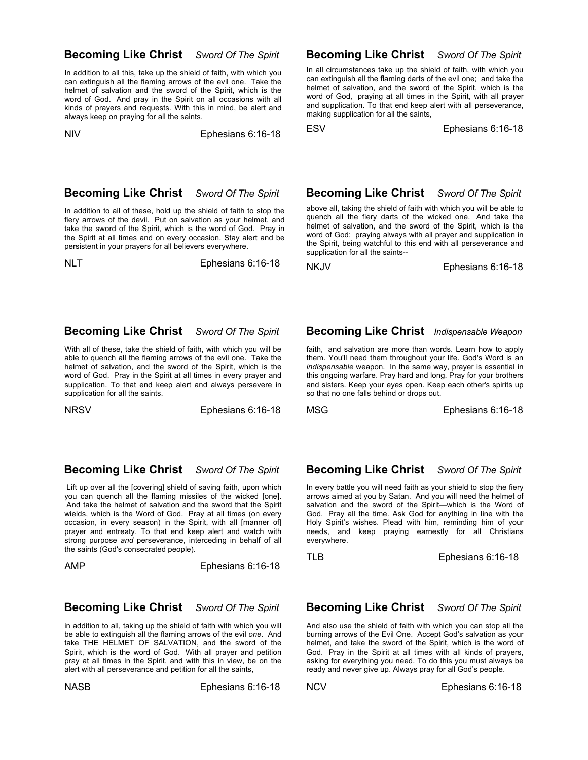### **Becoming Like Christ** *Sword Of The Spirit*

In addition to all this, take up the shield of faith, with which you can extinguish all the flaming arrows of the evil one. Take the helmet of salvation and the sword of the Spirit, which is the word of God. And pray in the Spirit on all occasions with all kinds of prayers and requests. With this in mind, be alert and always keep on praying for all the saints.

NIV Ephesians 6:16-18

### **Becoming Like Christ** *Sword Of The Spirit*

In all circumstances take up the shield of faith, with which you can extinguish all the flaming darts of the evil one; and take the helmet of salvation, and the sword of the Spirit, which is the word of God, praying at all times in the Spirit, with all prayer and supplication. To that end keep alert with all perseverance, making supplication for all the saints,

ESV Ephesians 6:16-18

### **Becoming Like Christ** *Sword Of The Spirit*

In addition to all of these, hold up the shield of faith to stop the fiery arrows of the devil. Put on salvation as your helmet, and take the sword of the Spirit, which is the word of God. Pray in the Spirit at all times and on every occasion. Stay alert and be persistent in your prayers for all believers everywhere.

NLT **Ephesians 6:16-18** 

# **Becoming Like Christ** *Sword Of The Spirit*

above all, taking the shield of faith with which you will be able to quench all the fiery darts of the wicked one. And take the helmet of salvation, and the sword of the Spirit, which is the word of God; praying always with all prayer and supplication in the Spirit, being watchful to this end with all perseverance and supplication for all the saints--

NKJV Ephesians 6:16-18

### **Becoming Like Christ** *Sword Of The Spirit*

With all of these, take the shield of faith, with which you will be able to quench all the flaming arrows of the evil one. Take the helmet of salvation, and the sword of the Spirit, which is the word of God. Pray in the Spirit at all times in every prayer and supplication. To that end keep alert and always persevere in supplication for all the saints.

NRSV Ephesians 6:16-18

### **Becoming Like Christ** *Sword Of The Spirit*

Lift up over all the [covering] shield of saving faith, upon which you can quench all the flaming missiles of the wicked [one]. And take the helmet of salvation and the sword that the Spirit wields, which is the Word of God. Pray at all times (on every occasion, in every season) in the Spirit, with all [manner of] prayer and entreaty. To that end keep alert and watch with strong purpose *and* perseverance, interceding in behalf of all the saints (God's consecrated people).

AMPEphesians 6:16-18

### **Becoming Like Christ** *Sword Of The Spirit*

in addition to all, taking up the shield of faith with which you will be able to extinguish all the flaming arrows of the evil *one.* And take THE HELMET OF SALVATION, and the sword of the Spirit, which is the word of God. With all prayer and petition pray at all times in the Spirit, and with this in view, be on the alert with all perseverance and petition for all the saints,

NASB Ephesians 6:16-18

# **Becoming Like Christ** *Indispensable Weapon*

faith, and salvation are more than words. Learn how to apply them. You'll need them throughout your life. God's Word is an *indispensable* weapon. In the same way, prayer is essential in this ongoing warfare. Pray hard and long. Pray for your brothers and sisters. Keep your eyes open. Keep each other's spirits up so that no one falls behind or drops out.

MSG Ephesians 6:16-18

### **Becoming Like Christ** *Sword Of The Spirit*

In every battle you will need faith as your shield to stop the fiery arrows aimed at you by Satan. And you will need the helmet of salvation and the sword of the Spirit—which is the Word of God. Pray all the time. Ask God for anything in line with the Holy Spirit's wishes. Plead with him, reminding him of your needs, and keep praying earnestly for all Christians everywhere.

TLBEphesians 6:16-18

### **Becoming Like Christ** *Sword Of The Spirit*

And also use the shield of faith with which you can stop all the burning arrows of the Evil One. Accept God's salvation as your helmet, and take the sword of the Spirit, which is the word of God. Pray in the Spirit at all times with all kinds of prayers, asking for everything you need. To do this you must always be ready and never give up. Always pray for all God's people.

NCVEphesians 6:16-18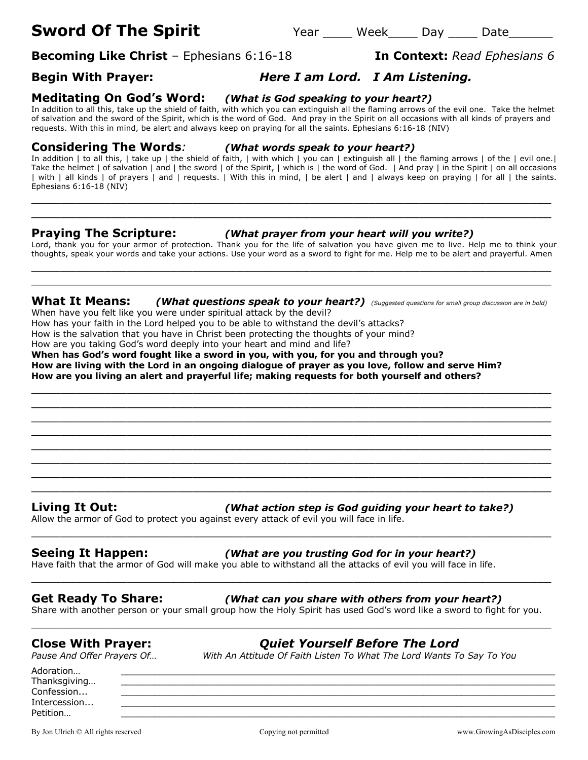# **Sword Of The Spirit** The Year Week Day Date

**Becoming Like Christ** – Ephesians 6:16-18 **In Context:** *Read Ephesians 6* 

## **Begin With Prayer:** *Here I am Lord. I Am Listening.*

### **Meditating On God's Word:** *(What is God speaking to your heart?)*

In addition to all this, take up the shield of faith, with which you can extinguish all the flaming arrows of the evil one. Take the helmet of salvation and the sword of the Spirit, which is the word of God. And pray in the Spirit on all occasions with all kinds of prayers and requests. With this in mind, be alert and always keep on praying for all the saints. Ephesians 6:16-18 (NIV)

### **Considering The Words***: (What words speak to your heart?)*

In addition | to all this, | take up | the shield of faith, | with which | you can | extinguish all | the flaming arrows | of the | evil one.| Take the helmet | of salvation | and | the sword | of the Spirit, | which is | the word of God. | And pray | in the Spirit | on all occasions | with | all kinds | of prayers | and | requests. | With this in mind, | be alert | and | always keep on praying | for all | the saints. Ephesians 6:16-18 (NIV)

\_\_\_\_\_\_\_\_\_\_\_\_\_\_\_\_\_\_\_\_\_\_\_\_\_\_\_\_\_\_\_\_\_\_\_\_\_\_\_\_\_\_\_\_\_\_\_\_\_\_\_\_\_\_\_\_\_\_\_\_\_\_\_\_\_\_\_\_\_\_\_ \_\_\_\_\_\_\_\_\_\_\_\_\_\_\_\_\_\_\_\_\_\_\_\_\_\_\_\_\_\_\_\_\_\_\_\_\_\_\_\_\_\_\_\_\_\_\_\_\_\_\_\_\_\_\_\_\_\_\_\_\_\_\_\_\_\_\_\_\_\_\_

### **Praying The Scripture:** *(What prayer from your heart will you write?)*

Lord, thank you for your armor of protection. Thank you for the life of salvation you have given me to live. Help me to think your thoughts, speak your words and take your actions. Use your word as a sword to fight for me. Help me to be alert and prayerful. Amen \_\_\_\_\_\_\_\_\_\_\_\_\_\_\_\_\_\_\_\_\_\_\_\_\_\_\_\_\_\_\_\_\_\_\_\_\_\_\_\_\_\_\_\_\_\_\_\_\_\_\_\_\_\_\_\_\_\_\_\_\_\_\_\_\_\_\_\_\_\_\_

## **What It Means:** *(What questions speak to your heart?) (Suggested questions for small group discussion are in bold)*

 $\_$  , and the set of the set of the set of the set of the set of the set of the set of the set of the set of the set of the set of the set of the set of the set of the set of the set of the set of the set of the set of th \_\_\_\_\_\_\_\_\_\_\_\_\_\_\_\_\_\_\_\_\_\_\_\_\_\_\_\_\_\_\_\_\_\_\_\_\_\_\_\_\_\_\_\_\_\_\_\_\_\_\_\_\_\_\_\_\_\_\_\_\_\_\_\_\_\_\_\_\_\_\_ \_\_\_\_\_\_\_\_\_\_\_\_\_\_\_\_\_\_\_\_\_\_\_\_\_\_\_\_\_\_\_\_\_\_\_\_\_\_\_\_\_\_\_\_\_\_\_\_\_\_\_\_\_\_\_\_\_\_\_\_\_\_\_\_\_\_\_\_\_\_\_ \_\_\_\_\_\_\_\_\_\_\_\_\_\_\_\_\_\_\_\_\_\_\_\_\_\_\_\_\_\_\_\_\_\_\_\_\_\_\_\_\_\_\_\_\_\_\_\_\_\_\_\_\_\_\_\_\_\_\_\_\_\_\_\_\_\_\_\_\_\_\_ \_\_\_\_\_\_\_\_\_\_\_\_\_\_\_\_\_\_\_\_\_\_\_\_\_\_\_\_\_\_\_\_\_\_\_\_\_\_\_\_\_\_\_\_\_\_\_\_\_\_\_\_\_\_\_\_\_\_\_\_\_\_\_\_\_\_\_\_\_\_\_ \_\_\_\_\_\_\_\_\_\_\_\_\_\_\_\_\_\_\_\_\_\_\_\_\_\_\_\_\_\_\_\_\_\_\_\_\_\_\_\_\_\_\_\_\_\_\_\_\_\_\_\_\_\_\_\_\_\_\_\_\_\_\_\_\_\_\_\_\_\_\_ \_\_\_\_\_\_\_\_\_\_\_\_\_\_\_\_\_\_\_\_\_\_\_\_\_\_\_\_\_\_\_\_\_\_\_\_\_\_\_\_\_\_\_\_\_\_\_\_\_\_\_\_\_\_\_\_\_\_\_\_\_\_\_\_\_\_\_\_\_\_\_

\_\_\_\_\_\_\_\_\_\_\_\_\_\_\_\_\_\_\_\_\_\_\_\_\_\_\_\_\_\_\_\_\_\_\_\_\_\_\_\_\_\_\_\_\_\_\_\_\_\_\_\_\_\_\_\_\_\_\_\_\_\_\_\_\_\_\_\_\_\_\_

When have you felt like you were under spiritual attack by the devil?

How has your faith in the Lord helped you to be able to withstand the devil's attacks?

How is the salvation that you have in Christ been protecting the thoughts of your mind?

How are you taking God's word deeply into your heart and mind and life?

**When has God's word fought like a sword in you, with you, for you and through you? How are living with the Lord in an ongoing dialogue of prayer as you love, follow and serve Him? How are you living an alert and prayerful life; making requests for both yourself and others?** \_\_\_\_\_\_\_\_\_\_\_\_\_\_\_\_\_\_\_\_\_\_\_\_\_\_\_\_\_\_\_\_\_\_\_\_\_\_\_\_\_\_\_\_\_\_\_\_\_\_\_\_\_\_\_\_\_\_\_\_\_\_\_\_\_\_\_\_\_\_\_

## **Living It Out:** *(What action step is God guiding your heart to take?)*

Allow the armor of God to protect you against every attack of evil you will face in life.

### **Seeing It Happen:** *(What are you trusting God for in your heart?)*

Have faith that the armor of God will make you able to withstand all the attacks of evil you will face in life.

### **Get Ready To Share:** *(What can you share with others from your heart?)*

Share with another person or your small group how the Holy Spirit has used God's word like a sword to fight for you. \_\_\_\_\_\_\_\_\_\_\_\_\_\_\_\_\_\_\_\_\_\_\_\_\_\_\_\_\_\_\_\_\_\_\_\_\_\_\_\_\_\_\_\_\_\_\_\_\_\_\_\_\_\_\_\_\_\_\_\_\_\_\_\_\_\_\_\_\_\_\_

\_\_\_\_\_\_\_\_\_\_\_\_\_\_\_\_\_\_\_\_\_\_\_\_\_\_\_\_\_\_\_\_\_\_\_\_\_\_\_\_\_\_\_\_\_\_\_\_\_\_\_\_\_\_\_\_\_\_\_\_\_\_\_\_\_\_\_\_\_\_\_

\_\_\_\_\_\_\_\_\_\_\_\_\_\_\_\_\_\_\_\_\_\_\_\_\_\_\_\_\_\_\_\_\_\_\_\_\_\_\_\_\_\_\_\_\_\_\_\_\_\_\_\_\_\_\_\_\_\_\_\_\_\_\_\_\_\_\_\_\_\_\_

**Close With Prayer:** *Quiet Yourself Before The Lord*

*Pause And Offer Prayers Of… With An Attitude Of Faith Listen To What The Lord Wants To Say To You*

Adoration… \_\_\_\_\_\_\_\_\_\_\_\_\_\_\_\_\_\_\_\_\_\_\_\_\_\_\_\_\_\_\_\_\_\_\_\_\_\_\_\_\_\_\_\_\_\_\_\_\_\_\_\_\_\_\_\_\_\_\_\_\_\_\_\_\_\_\_\_\_\_\_\_\_\_\_\_\_\_\_ Thanksgiving...  $\textsf{Confession...}\qquad \qquad \underline{\hspace{2.5cm}}$ Intercession... \_\_\_\_\_\_\_\_\_\_\_\_\_\_\_\_\_\_\_\_\_\_\_\_\_\_\_\_\_\_\_\_\_\_\_\_\_\_\_\_\_\_\_\_\_\_\_\_\_\_\_\_\_\_\_\_\_\_\_\_\_\_\_\_\_\_\_\_\_\_\_\_\_\_\_\_\_\_\_ Petition… \_\_\_\_\_\_\_\_\_\_\_\_\_\_\_\_\_\_\_\_\_\_\_\_\_\_\_\_\_\_\_\_\_\_\_\_\_\_\_\_\_\_\_\_\_\_\_\_\_\_\_\_\_\_\_\_\_\_\_\_\_\_\_\_\_\_\_\_\_\_\_\_\_\_\_\_\_\_\_

By Jon Ulrich © All rights reserved compared copying not permitted www.GrowingAsDisciples.com